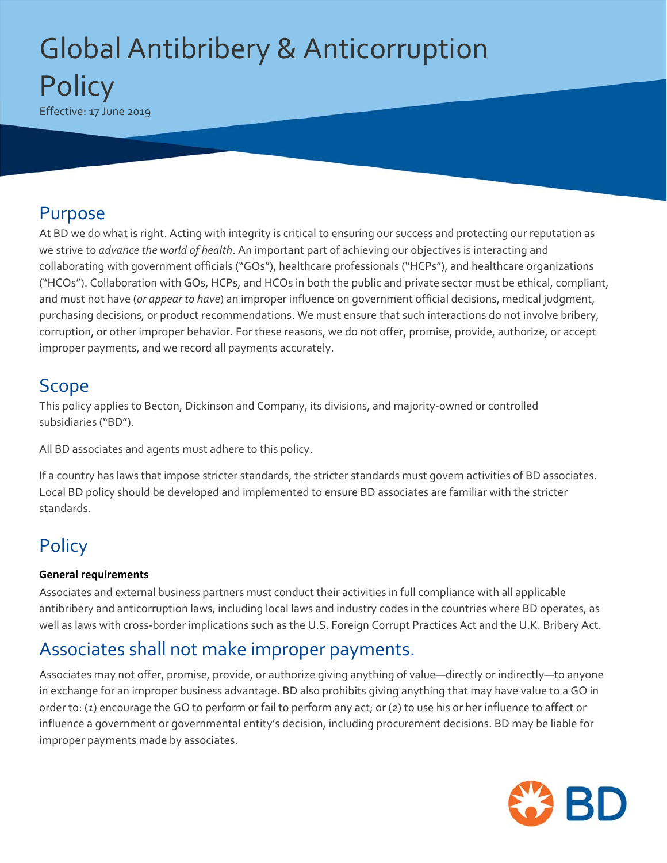# Global Antibribery & Anticorruption **Policy** Effective: 17 June 2019

### Purpose

At BD we do what is right. Acting with integrity is critical to ensuring our success and protecting our reputation as we strive to *advance the world of health*. An important part of achieving our objectives is interacting and collaborating with government officials ("GOs"), healthcare professionals ("HCPs"), and healthcare organizations ("HCOs"). Collaboration with GOs, HCPs, and HCOs in both the public and private sector must be ethical, compliant, and must not have (*or appear to have*) an improper influence on government official decisions, medical judgment, purchasing decisions, or product recommendations. We must ensure that such interactions do not involve bribery, corruption, or other improper behavior. For these reasons, we do not offer, promise, provide, authorize, or accept improper payments, and we record all payments accurately.

### Scope

This policy applies to Becton, Dickinson and Company, its divisions, and majority-owned or controlled subsidiaries ("BD").

All BD associates and agents must adhere to this policy.

If a country has laws that impose stricter standards, the stricter standards must govern activities of BD associates. Local BD policy should be developed and implemented to ensure BD associates are familiar with the stricter standards.

# **Policy**

### **General requirements**

Associates and external business partners must conduct their activities in full compliance with all applicable antibribery and anticorruption laws, including local laws and industry codes in the countries where BD operates, as well as laws with cross-border implications such as the U.S. Foreign Corrupt Practices Act and the U.K. Bribery Act.

### Associates shall not make improper payments.

Associates may not offer, promise, provide, or authorize giving anything of value—directly or indirectly—to anyone in exchange for an improper business advantage. BD also prohibits giving anything that may have value to a GO in order to: (*1*) encourage the GO to perform or fail to perform any act; or (*2*) to use his or her influence to affect or influence a government or governmental entity's decision, including procurement decisions. BD may be liable for improper payments made by associates.

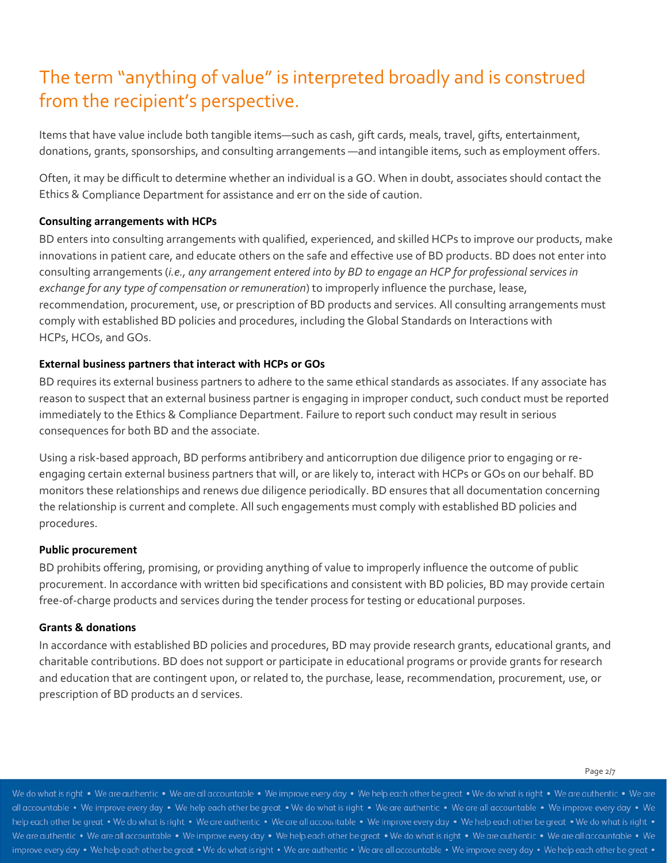## The term "anything of value" is interpreted broadly and is construed from the recipient's perspective.

Items that have value include both tangible items—such as cash, gift cards, meals, travel, gifts, entertainment, donations, grants, sponsorships, and consulting arrangements —and intangible items, such as employment offers.

Often, it may be difficult to determine whether an individual is a GO. When in doubt, associates should contact the Ethics & Compliance Department for assistance and err on the side of caution.

#### **Consulting arrangements with HCPs**

BD enters into consulting arrangements with qualified, experienced, and skilled HCPs to improve our products, make innovations in patient care, and educate others on the safe and effective use of BD products. BD does not enter into consulting arrangements (*i.e., any arrangement entered into by BD to engage an HCP for professional services in exchange for any type of compensation or remuneration*) to improperly influence the purchase, lease, recommendation, procurement, use, or prescription of BD products and services. All consulting arrangements must comply with established BD policies and procedures, including the Global Standards on Interactions with HCPs, HCOs, and GOs.

#### **External business partners that interact with HCPs or GOs**

BD requires its external business partners to adhere to the same ethical standards as associates. If any associate has reason to suspect that an external business partner is engaging in improper conduct, such conduct must be reported immediately to the Ethics & Compliance Department. Failure to report such conduct may result in serious consequences for both BD and the associate.

Using a risk‐based approach, BD performs antibribery and anticorruption due diligence prior to engaging or re‐ engaging certain external business partners that will, or are likely to, interact with HCPs or GOs on our behalf. BD monitors these relationships and renews due diligence periodically. BD ensures that all documentation concerning the relationship is current and complete. All such engagements must comply with established BD policies and procedures.

#### **Public procurement**

BD prohibits offering, promising, or providing anything of value to improperly influence the outcome of public procurement. In accordance with written bid specifications and consistent with BD policies, BD may provide certain free-of-charge products and services during the tender process for testing or educational purposes.

#### **Grants & donations**

In accordance with established BD policies and procedures, BD may provide research grants, educational grants, and charitable contributions. BD does not support or participate in educational programs or provide grants for research and education that are contingent upon, or related to, the purchase, lease, recommendation, procurement, use, or prescription of BD products an d services.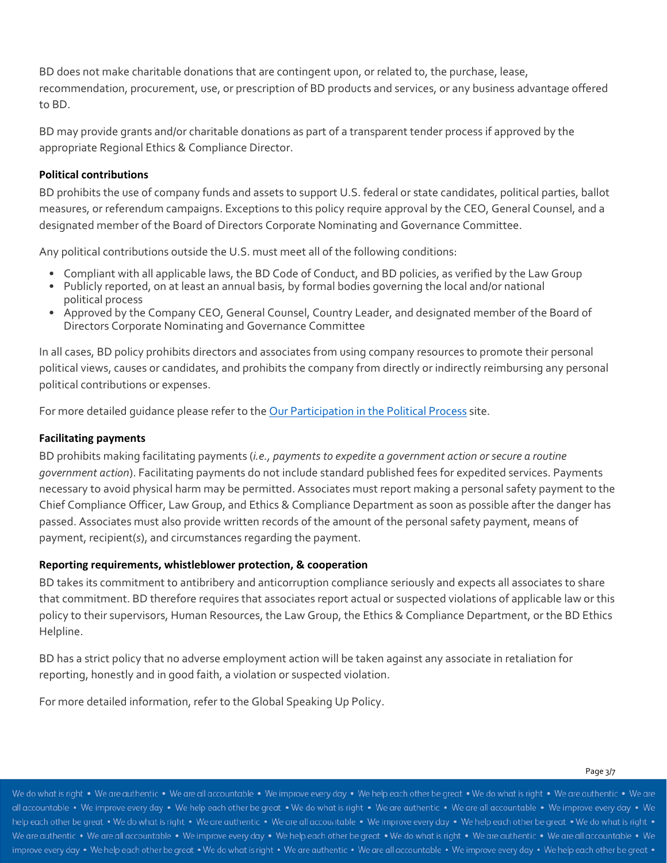BD does not make charitable donations that are contingent upon, or related to, the purchase, lease, recommendation, procurement, use, or prescription of BD products and services, or any business advantage offered to BD.

BD may provide grants and/or charitable donations as part of a transparent tender process if approved by the appropriate Regional Ethics & Compliance Director.

#### **Political contributions**

BD prohibits the use of company funds and assets to support U.S. federal or state candidates, political parties, ballot measures, or referendum campaigns. Exceptions to this policy require approval by the CEO, General Counsel, and a designated member of the Board of Directors Corporate Nominating and Governance Committee.

Any political contributions outside the U.S. must meet all of the following conditions:

- Compliant with all applicable laws, the BD Code of Conduct, and BD policies, as verified by the Law Group
- Publicly reported, on at least an annual basis, by formal bodies governing the local and/or national political process
- Approved by the Company CEO, General Counsel, Country Leader, and designated member of the Board of Directors Corporate Nominating and Governance Committee

In all cases, BD policy prohibits directors and associates from using company resources to promote their personal political views, causes or candidates, and prohibits the company from directly or indirectly reimbursing any personal political contributions or expenses.

For more detailed quidance please refer to the Our Participation in the Political Process site.

#### **Facilitating payments**

BD prohibits making facilitating payments (*i.e., payments to expedite a government action or secure a routine government action*). Facilitating payments do not include standard published fees for expedited services. Payments necessary to avoid physical harm may be permitted. Associates must report making a personal safety payment to the Chief Compliance Officer, Law Group, and Ethics & Compliance Department as soon as possible after the danger has passed. Associates must also provide written records of the amount of the personal safety payment, means of payment, recipient(*s*), and circumstances regarding the payment.

#### **Reporting requirements, whistleblower protection, & cooperation**

BD takes its commitment to antibribery and anticorruption compliance seriously and expects all associates to share that commitment. BD therefore requires that associates report actual or suspected violations of applicable law or this policy to their supervisors, Human Resources, the Law Group, the Ethics & Compliance Department, or the BD Ethics Helpline.

BD has a strict policy that no adverse employment action will be taken against any associate in retaliation for reporting, honestly and in good faith, a violation or suspected violation.

For more detailed information, refer to the Global Speaking Up Policy.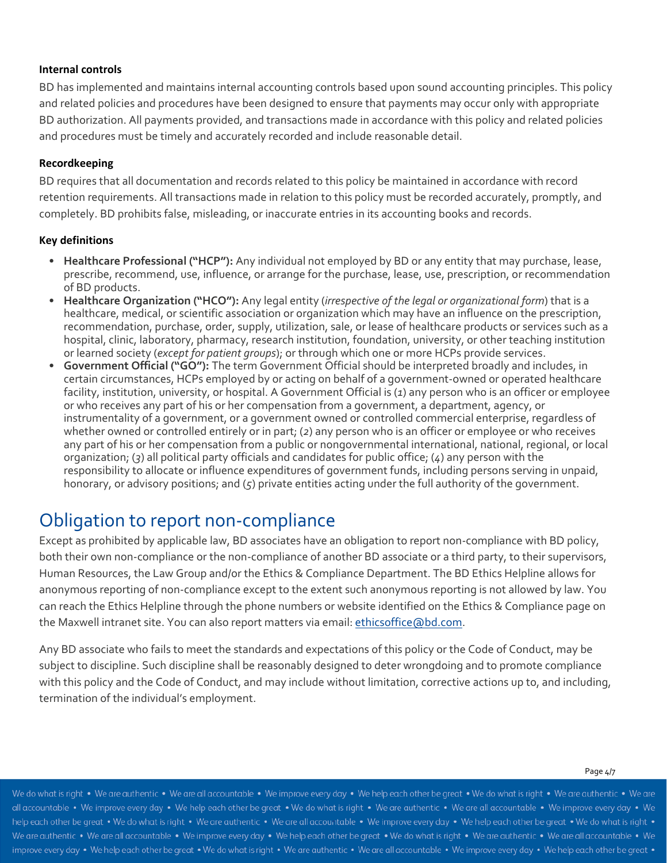#### **Internal controls**

BD has implemented and maintains internal accounting controls based upon sound accounting principles. This policy and related policies and procedures have been designed to ensure that payments may occur only with appropriate BD authorization. All payments provided, and transactions made in accordance with this policy and related policies and procedures must be timely and accurately recorded and include reasonable detail.

#### **Recordkeeping**

BD requires that all documentation and records related to this policy be maintained in accordance with record retention requirements. All transactions made in relation to this policy must be recorded accurately, promptly, and completely. BD prohibits false, misleading, or inaccurate entries in its accounting books and records.

#### **Key definitions**

- **Healthcare Professional ("HCP"):** Any individual not employed by BD or any entity that may purchase, lease, prescribe, recommend, use, influence, or arrange for the purchase, lease, use, prescription, or recommendation of BD products.
- **Healthcare Organization ("HCO"):** Any legal entity (*irrespective of the legal or organizational form*) that is a healthcare, medical, or scientific association or organization which may have an influence on the prescription, recommendation, purchase, order, supply, utilization, sale, or lease of healthcare products or services such as a hospital, clinic, laboratory, pharmacy, research institution, foundation, university, or other teaching institution or learned society (*except for patient groups*); or through which one or more HCPs provide services.
- **Government Official ("GO"):** The term Government Official should be interpreted broadly and includes, in certain circumstances, HCPs employed by or acting on behalf of a government‐owned or operated healthcare facility, institution, university, or hospital. A Government Official is (*1*) any person who is an officer or employee or who receives any part of his or her compensation from a government, a department, agency, or instrumentality of a government, or a government owned or controlled commercial enterprise, regardless of whether owned or controlled entirely or in part; (*2*) any person who is an officer or employee or who receives any part of his or her compensation from a public or nongovernmental international, national, regional, or local organization; (*3*) all political party officials and candidates for public office; (*4*) any person with the responsibility to allocate or influence expenditures of government funds, including persons serving in unpaid, honorary, or advisory positions; and (*5*) private entities acting under the full authority of the government.

### Obligation to report non‐compliance

Except as prohibited by applicable law, BD associates have an obligation to report non-compliance with BD policy, both their own non-compliance or the non-compliance of another BD associate or a third party, to their supervisors, Human Resources, the Law Group and/or the Ethics & Compliance Department. The BD Ethics Helpline allows for anonymous reporting of non‐compliance except to the extent such anonymous reporting is not allowed by law. You can reach the Ethics Helpline through the phone numbers or website identified on the Ethics & Compliance page on the Maxwell intranet site. You can also report matters via email: ethicsoffice@bd.com.

Any BD associate who fails to meet the standards and expectations of this policy or the Code of Conduct, may be subject to discipline. Such discipline shall be reasonably designed to deter wrongdoing and to promote compliance with this policy and the Code of Conduct, and may include without limitation, corrective actions up to, and including, termination of the individual's employment.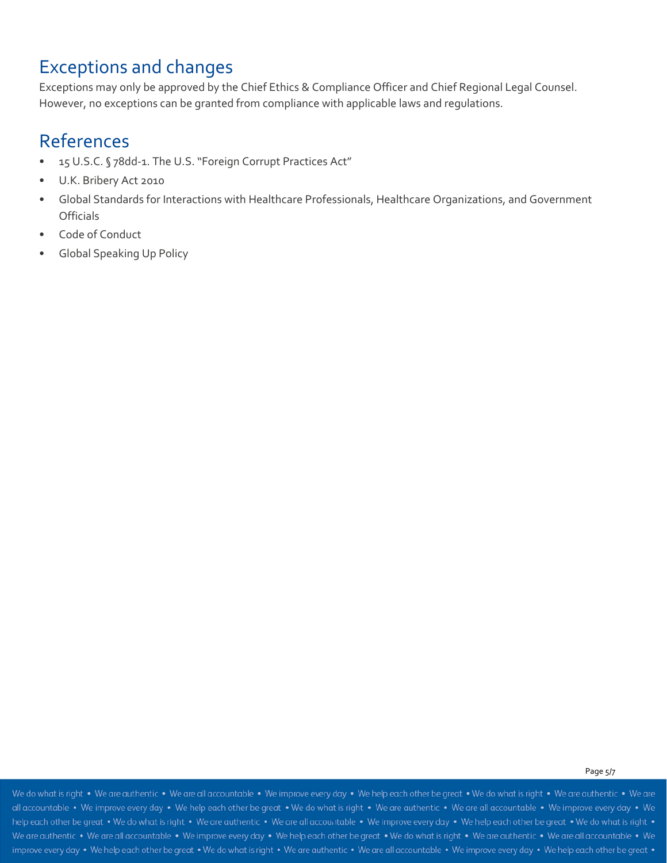### Exceptions and changes

Exceptions may only be approved by the Chief Ethics & Compliance Officer and Chief Regional Legal Counsel. However, no exceptions can be granted from compliance with applicable laws and regulations.

### References

- 15 U.S.C. § 78dd-1. The U.S. "Foreign Corrupt Practices Act"
- U.K. Bribery Act 2010
- Global Standards for Interactions with Healthcare Professionals, Healthcare Organizations, and Government **Officials**
- Code of Conduct
- Global Speaking Up Policy

#### Page 5/7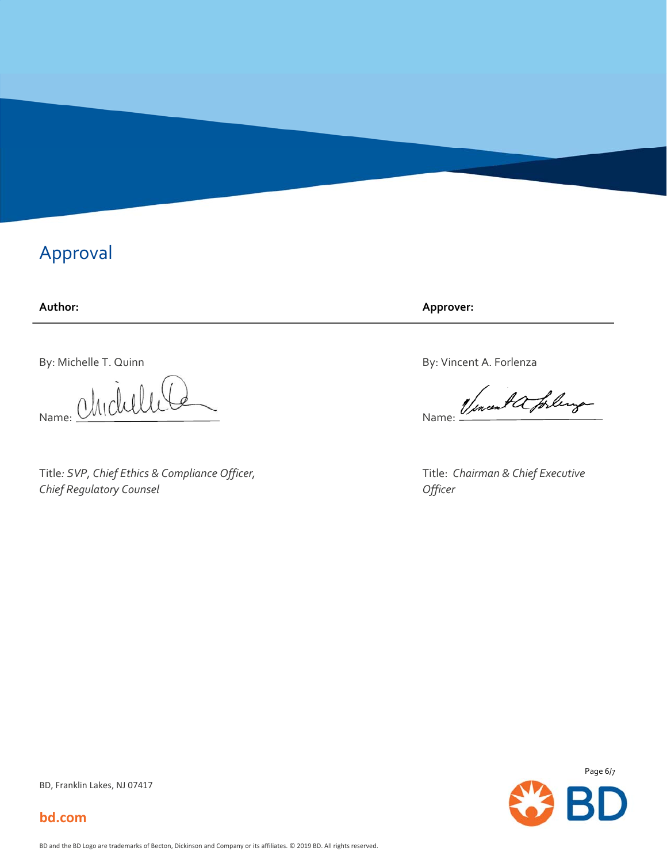### Approval

### **Author:**

By: Michelle T. Quinn

Name: Chichelle

Title*: SVP, Chief Ethics & Compliance Officer, Chief Regulatory Counsel*

**Approver:**

By: Vincent A. Forlenza

Name: 1/encent a forling

Title: *Chairman & Chief Executive Officer*



BD, Franklin Lakes, NJ 07417

**bd.com**